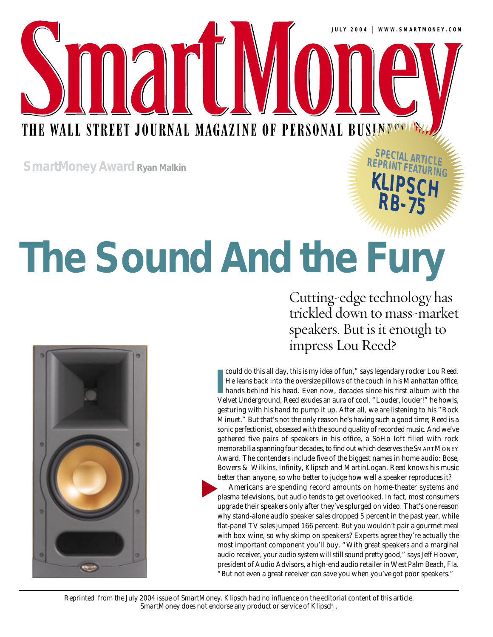THE WALL STREET JOURNAL MAGAZINE OF PERSONAL BUSINENCE

**SmartMoney Award Ryan Malkin**

# **The Sound And the Fury**

Cutting-edge technology has trickled down to mass-market speakers. But is it enough to impress Lou Reed?

**RE S P**

**PECIAL ARTICLE RINT FEATURING**

**KLIPSCH**

**RB-75**



In could do this all day, this is my idea of fun," says legendary rocker Lou Reed.<br>He leans back into the oversize pillows of the couch in his Manhattan office, hands behind his head. Even now, decades since his first albu could do this all day, this is my idea of fun," says legendary rocker Lou Reed. He leans back into the oversize pillows of the couch in his Manhattan office, hands behind his head. Even now, decades since his first album with the gesturing with his hand to pump it up. After all, we are listening to his "Rock Minuet." But that's not the only reason he's having such a good time; Reed is a sonic perfectionist, obsessed with the sound quality of recorded music. And we've gathered five pairs of speakers in his office, a SoHo loft filled with rock memorabilia spanning four decades, to find out which deserves the SMARTMONEY Award. The contenders include five of the biggest names in home audio: Bose, Bowers & Wilkins, Infinity, Klipsch and MartinLogan. Reed knows his music better than anyone, so who better to judge how well a speaker reproduces it?

Americans are spending record amounts on home-theater systems and plasma televisions, but audio tends to get overlooked. In fact, most consumers upgrade their speakers only after they've splurged on video. That's one reason why stand-alone audio speaker sales dropped 5 percent in the past year, while flat-panel TV sales jumped 166 percent. But you wouldn't pair a gourmet meal with box wine, so why skimp on speakers? Experts agree they're actually the most important component you'll buy. "With great speakers and a marginal audio receiver, your audio system will still sound pretty good," says Jeff Hoover, president of Audio Advisors, a high-end audio retailer in West Palm Beach, Fla. "But not even a great receiver can save you when you've got poor speakers." ▲

*Reprinted from the July 2004 issue of SmartMoney. Klipsch had no influence on the editorial content of this article. SmartMoney does not endorse any product or service of Klipsch .*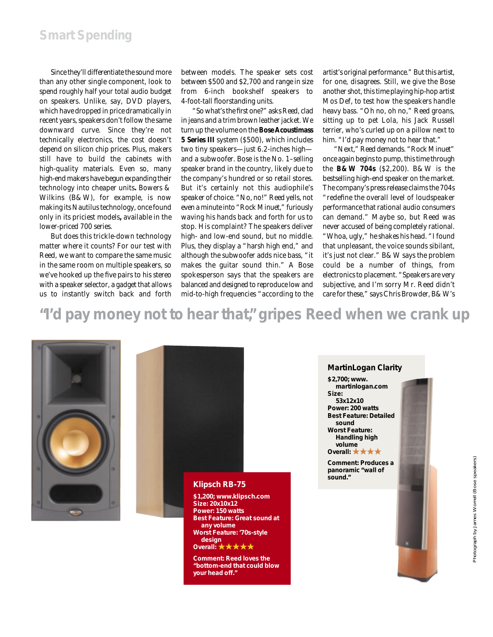Since they'll differentiate the sound more than any other single component, look to spend roughly half your total audio budget on speakers. Unlike, say, DVD players, which have dropped in price dramatically in recent years, speakers don't follow the same downward curve. Since they're not technically electronics, the cost doesn't depend on silicon chip prices. Plus, makers still have to build the cabinets with high-quality materials. Even so, many high-end makers have begun expanding their technology into cheaper units**.** Bowers & Wilkins (B&W), for example, is now making its Nautilus technology, once found only in its priciest models**,** available in the lower-priced 700 series.

But does this trickle-down technology matter where it counts? For our test with Reed, we want to compare the same music in the same room on multiple speakers, so we've hooked up the five pairs to his stereo with a speaker selector, a gadget that allows us to instantly switch back and forth

between models. The speaker sets cost between \$500 and \$2,700 and range in size from 6-inch bookshelf speakers to 4-foot-tall floorstanding units.

"So what's the first one?" asks Reed, clad in jeans and a trim brown leather jacket. We turn up the volume on the **Bose Acoustimass 5 Series III** system (\$500), which includes two tiny speakers—just 6.2-inches high and a subwoofer. Bose is the No. 1–selling speaker brand in the country, likely due to the company's hundred or so retail stores. But it's certainly not this audiophile's speaker of choice. "No, no!" Reed yells, not even a minute into "Rock Minuet," furiously waving his hands back and forth for us to stop. His complaint? The speakers deliver high- and low-end sound, but no middle. Plus, they display a "harsh high end," and although the subwoofer adds nice bass, "it makes the guitar sound thin." A Bose spokesperson says that the speakers are balanced and designed to reproduce low and mid-to-high frequencies "according to the artist's original performance." But this artist, for one, disagrees. Still, we give the Bose another shot, this time playing hip-hop artist Mos Def, to test how the speakers handle heavy bass. "Oh no, oh no," Reed groans, sitting up to pet Lola, his Jack Russell terrier, who's curled up on a pillow next to him. "I'd pay money *not* to hear that."

"Next," Reed demands. "Rock Minuet" once again begins to pump, this time through the **B&W 704s** (\$2,200). B&W is the bestselling high-end speaker on the market. The company's press release claims the 704s "redefine the overall level of loudspeaker performance that rational audio consumers can demand." Maybe so, but Reed was never accused of being completely rational. "Whoa, ugly," he shakes his head. "I found that unpleasant, the voice sounds sibilant, it's just not clear." B&W says the problem could be a number of things, from electronics to placement. "Speakers are very subjective, and I'm sorry Mr. Reed didn't care for these," says Chris Browder, B&W's

**"I'd pay money not to hear that," gripes Reed when we crank up**





**\$1,200;** *www.klipsch.com* **Size: 20x10x12 Power: 150 watts Best Feature: Great sound at any volume Worst Feature: '70s-style design Overall:** ★★★★★

**Comment: Reed loves the "bottom-end that could blow your head off."**

#### **MartinLogan Clarity**

**\$2,700;** *www. martinlogan.com* **Size: 53x12x10 Power: 200 watts Best Feature: Detailed sound Worst Feature: Handling high volume**

**Overall:** ★★★★

**Comment: Produces a panoramic "wall of sound."**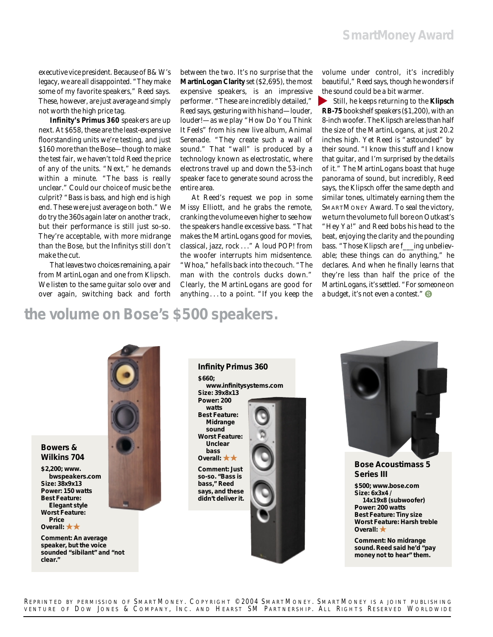executive vice president. Because of B&W's legacy, we are all disappointed. "They make some of my favorite speakers," Reed says. These, however, are just average and simply not worth the high price tag.

**Infinity's Primus 360** speakers are up next. At \$658, these are the least-expensive floorstanding units we're testing, and just \$160 more than the Bose—though to make the test fair, we haven't told Reed the price of any of the units. "Next," he demands within a minute. "The bass is really unclear." Could our choice of music be the culprit? "Bass is bass, and high end is high end. These were just average on both." We do try the 360s again later on another track, but their performance is still just so-so. They're acceptable, with more midrange than the Bose, but the Infinitys still don't make the cut.

That leaves two choices remaining, a pair from MartinLogan and one from Klipsch. We listen to the same guitar solo over and over again, switching back and forth

between the two. It's no surprise that the **MartinLogan Clarity** set (\$2,695), the most expensive speakers, is an impressive performer. "These are incredibly detailed," Reed says, gesturing with his hand—louder, louder!—as we play "How Do You Think It Feels" from his new live album, *Animal Serenade.* "They create such a wall of sound." That "wall" is produced by a technology known as electrostatic, where electrons travel up and down the 53-inch speaker face to generate sound across the entire area.

At Reed's request we pop in some Missy Elliott, and he grabs the remote, cranking the volume even higher to see how the speakers handle excessive bass. "That makes the MartinLogans good for movies, classical, jazz, rock..." A loud POP! from the woofer interrupts him midsentence. "Whoa," he falls back into the couch. "The man with the controls ducks down." Clearly, the MartinLogans are good for anything . . . to a point. "If you keep the

volume under control, it's incredibly beautiful," Reed says, though he wonders if the sound could be a bit warmer.

Still, he keeps returning to the **Klipsch** ▲**RB-75** bookshelf speakers (\$1,200), with an 8-inch woofer. The Klipsch are less than half the size of the MartinLogans, at just 20.2 inches high. Yet Reed is "astounded" by their sound. "I know this stuff and I know that guitar, and I'm surprised by the details of it." The MartinLogans boast that huge panorama of sound, but incredibly, Reed says, the Klipsch offer the same depth and similar tones, ultimately earning them the SMARTMONEY Award. To seal the victory, we turn the volume to full bore on Outkast's "Hey Ya!" and Reed bobs his head to the beat, enjoying the clarity and the pounding bass. "Those Klipsch are f\_\_\_ing unbelievable; these things can do anything," he declares. And when he finally learns that they're less than half the price of the MartinLogans, it's settled. "For someone on a budget, it's not even a contest."  $\bullet$ 

### **the volume on Bose's \$500 speakers.**



#### **Bowers & Wilkins 704**

**\$2,200;** *www. bwspeakers.com* **Size: 38x9x13 Power: 150 watts Best Feature: Elegant style Worst Feature: Price Overall:** ★★

**Comment: An average speaker, but the voice sounded "sibilant" and "not clear."**





**Bose Acoustimass 5 Series III** 

**\$500;** *www.bose.com* **Size: 6x3x4 / 14x19x8 (subwoofer) Power: 200 watts Best Feature: Tiny size Worst Feature: Harsh treble Overall:** ★

**Comment: No midrange sound. Reed said he'd "pay money not to hear" them.**

REPRINTED BY PERMISSION OF SMARTMONEY. COPYRIGHT ©2004 SMARTMONEY. SMARTMONEY IS A JOINT PUBLISHING VENTURE OF DOW JONES & COMPANY, INC. AND HEARST SM PARTNERSHIP. ALL RIGHTS RESERVED WORLDWIDE